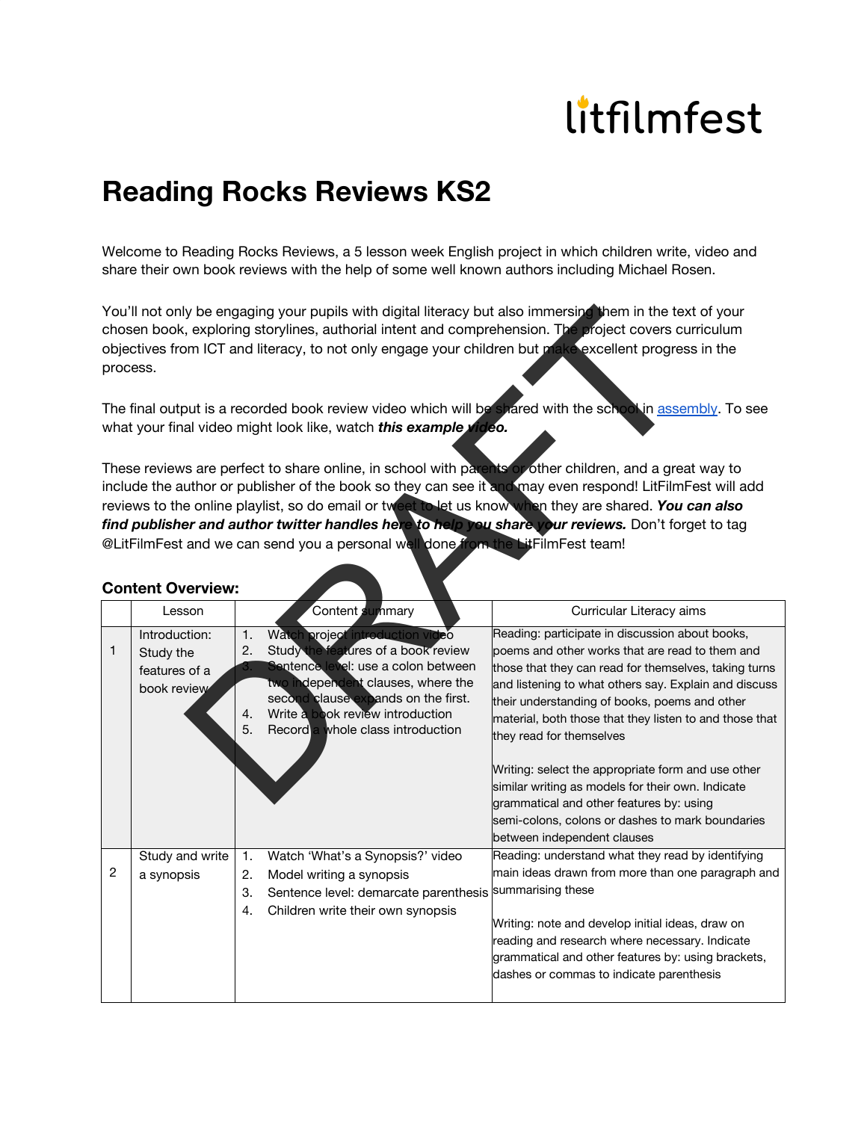## litfilmfest

## **Reading Rocks Reviews KS2**

Welcome to Reading Rocks Reviews, a 5 lesson week English project in which children write, video and share their own book reviews with the help of some well known authors including Michael Rosen.

## **Content Overview:**

| You'll not only be engaging your pupils with digital literacy but also immersing them in the text of your<br>chosen book, exploring storylines, authorial intent and comprehension. The project covers curriculum<br>objectives from ICT and literacy, to not only engage your children but make excellent progress in the<br>process.<br>The final output is a recorded book review video which will be shared with the schookin assembly. To see |                 |                  |                                                                           |                                                                                                          |  |  |  |  |  |
|----------------------------------------------------------------------------------------------------------------------------------------------------------------------------------------------------------------------------------------------------------------------------------------------------------------------------------------------------------------------------------------------------------------------------------------------------|-----------------|------------------|---------------------------------------------------------------------------|----------------------------------------------------------------------------------------------------------|--|--|--|--|--|
| what your final video might look like, watch this example video.                                                                                                                                                                                                                                                                                                                                                                                   |                 |                  |                                                                           |                                                                                                          |  |  |  |  |  |
| These reviews are perfect to share online, in school with parents or other children, and a great way to                                                                                                                                                                                                                                                                                                                                            |                 |                  |                                                                           |                                                                                                          |  |  |  |  |  |
| include the author or publisher of the book so they can see it and may even respond! LitFilmFest will add                                                                                                                                                                                                                                                                                                                                          |                 |                  |                                                                           |                                                                                                          |  |  |  |  |  |
| reviews to the online playlist, so do email or tweet to let us know when they are shared. You can also                                                                                                                                                                                                                                                                                                                                             |                 |                  |                                                                           |                                                                                                          |  |  |  |  |  |
| find publisher and author twitter handles here to help you share your reviews. Don't forget to tag                                                                                                                                                                                                                                                                                                                                                 |                 |                  |                                                                           |                                                                                                          |  |  |  |  |  |
| @LitFilmFest and we can send you a personal well done from the LitFilmFest team!                                                                                                                                                                                                                                                                                                                                                                   |                 |                  |                                                                           |                                                                                                          |  |  |  |  |  |
| <b>Content Overview:</b>                                                                                                                                                                                                                                                                                                                                                                                                                           |                 |                  |                                                                           |                                                                                                          |  |  |  |  |  |
|                                                                                                                                                                                                                                                                                                                                                                                                                                                    | Lesson          |                  | Content summary                                                           | Curricular Literacy aims                                                                                 |  |  |  |  |  |
|                                                                                                                                                                                                                                                                                                                                                                                                                                                    | Introduction:   | $\overline{1}$ . | Watch project introduction video                                          | Reading: participate in discussion about books,                                                          |  |  |  |  |  |
| 1                                                                                                                                                                                                                                                                                                                                                                                                                                                  | Study the       | 2.               | Study the features of a book review                                       | poems and other works that are read to them and                                                          |  |  |  |  |  |
|                                                                                                                                                                                                                                                                                                                                                                                                                                                    | features of a   |                  | Sentence level: use a colon between                                       | those that they can read for themselves, taking turns                                                    |  |  |  |  |  |
|                                                                                                                                                                                                                                                                                                                                                                                                                                                    | book review     |                  | two independent clauses, where the<br>second clause expands on the first. | and listening to what others say. Explain and discuss                                                    |  |  |  |  |  |
|                                                                                                                                                                                                                                                                                                                                                                                                                                                    |                 | 4.               | Write a book review introduction                                          | their understanding of books, poems and other<br>material, both those that they listen to and those that |  |  |  |  |  |
|                                                                                                                                                                                                                                                                                                                                                                                                                                                    |                 | 5.               | Record a whole class introduction                                         | they read for themselves                                                                                 |  |  |  |  |  |
|                                                                                                                                                                                                                                                                                                                                                                                                                                                    |                 |                  |                                                                           | Writing: select the appropriate form and use other                                                       |  |  |  |  |  |
|                                                                                                                                                                                                                                                                                                                                                                                                                                                    |                 |                  |                                                                           | similar writing as models for their own. Indicate                                                        |  |  |  |  |  |
|                                                                                                                                                                                                                                                                                                                                                                                                                                                    |                 |                  |                                                                           | grammatical and other features by: using                                                                 |  |  |  |  |  |
|                                                                                                                                                                                                                                                                                                                                                                                                                                                    |                 |                  |                                                                           | semi-colons, colons or dashes to mark boundaries                                                         |  |  |  |  |  |
|                                                                                                                                                                                                                                                                                                                                                                                                                                                    |                 |                  |                                                                           | between independent clauses                                                                              |  |  |  |  |  |
|                                                                                                                                                                                                                                                                                                                                                                                                                                                    | Study and write | 1.               | Watch 'What's a Synopsis?' video                                          | Reading: understand what they read by identifying                                                        |  |  |  |  |  |
| $\sqrt{2}$                                                                                                                                                                                                                                                                                                                                                                                                                                         | a synopsis      | 2.               | Model writing a synopsis                                                  | main ideas drawn from more than one paragraph and                                                        |  |  |  |  |  |
|                                                                                                                                                                                                                                                                                                                                                                                                                                                    |                 | 3.               | Sentence level: demarcate parenthesis                                     | summarising these                                                                                        |  |  |  |  |  |
|                                                                                                                                                                                                                                                                                                                                                                                                                                                    |                 | 4.               | Children write their own synopsis                                         | Writing: note and develop initial ideas, draw on                                                         |  |  |  |  |  |
|                                                                                                                                                                                                                                                                                                                                                                                                                                                    |                 |                  |                                                                           | reading and research where necessary. Indicate                                                           |  |  |  |  |  |
|                                                                                                                                                                                                                                                                                                                                                                                                                                                    |                 |                  |                                                                           | grammatical and other features by: using brackets,                                                       |  |  |  |  |  |
|                                                                                                                                                                                                                                                                                                                                                                                                                                                    |                 |                  |                                                                           | dashes or commas to indicate parenthesis                                                                 |  |  |  |  |  |
|                                                                                                                                                                                                                                                                                                                                                                                                                                                    |                 |                  |                                                                           |                                                                                                          |  |  |  |  |  |